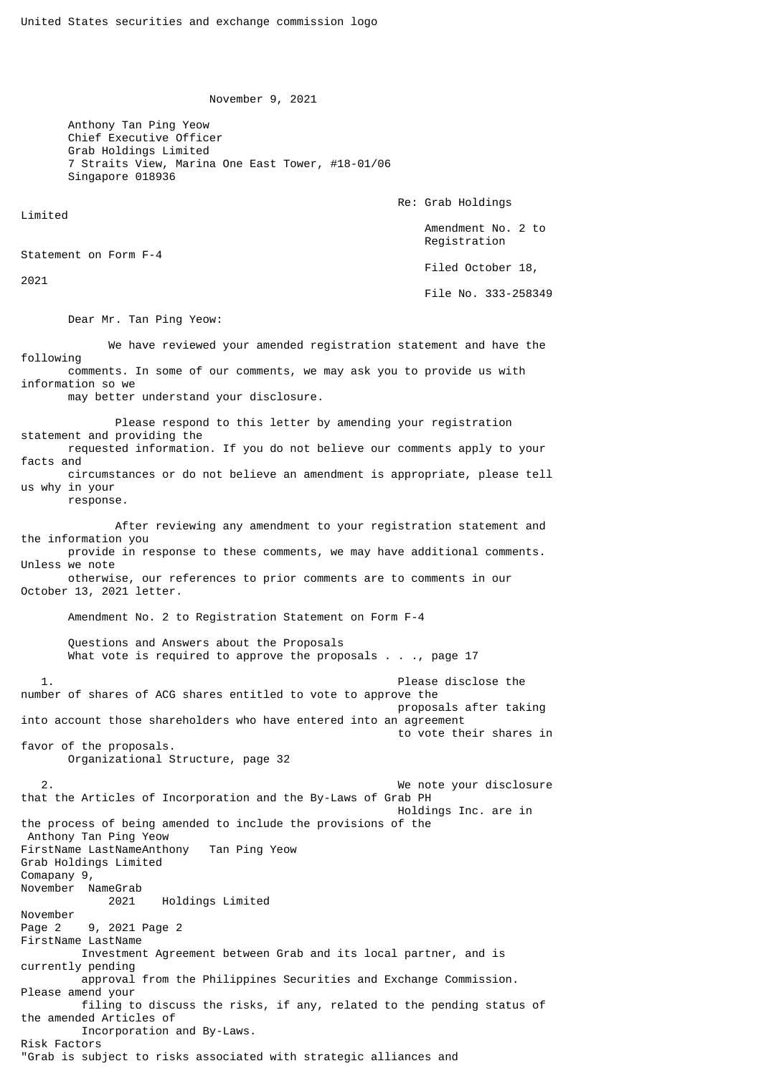November 9, 2021

 Anthony Tan Ping Yeow Chief Executive Officer Grab Holdings Limited 7 Straits View, Marina One East Tower, #18-01/06 Singapore 018936

Re: Grab Holdings

 Amendment No. 2 to Registration

Filed October 18,

File No. 333-258349

Dear Mr. Tan Ping Yeow:

 We have reviewed your amended registration statement and have the following comments. In some of our comments, we may ask you to provide us with information so we may better understand your disclosure.

 Please respond to this letter by amending your registration statement and providing the requested information. If you do not believe our comments apply to your facts and circumstances or do not believe an amendment is appropriate, please tell us why in your response. After reviewing any amendment to your registration statement and the information you provide in response to these comments, we may have additional comments. Unless we note otherwise, our references to prior comments are to comments in our October 13, 2021 letter. Amendment No. 2 to Registration Statement on Form F-4 Questions and Answers about the Proposals What vote is required to approve the proposals  $\ldots$ , page 17 1. Please disclose the number of shares of ACG shares entitled to vote to approve the proposals after taking into account those shareholders who have entered into an agreement to vote their shares in favor of the proposals. Organizational Structure, page 32 2. We note your disclosure that the Articles of Incorporation and the By-Laws of Grab PH Holdings Inc. are in the process of being amended to include the provisions of the Anthony Tan Ping Yeow FirstName LastNameAnthony Tan Ping Yeow Grab Holdings Limited Comapany 9, November NameGrab 2021 Holdings Limited November Page 2 9, 2021 Page 2 FirstName LastName Investment Agreement between Grab and its local partner, and is currently pending approval from the Philippines Securities and Exchange Commission. Please amend your filing to discuss the risks, if any, related to the pending status of the amended Articles of Incorporation and By-Laws. Risk Factors

"Grab is subject to risks associated with strategic alliances and

Limited

2021

Statement on Form F-4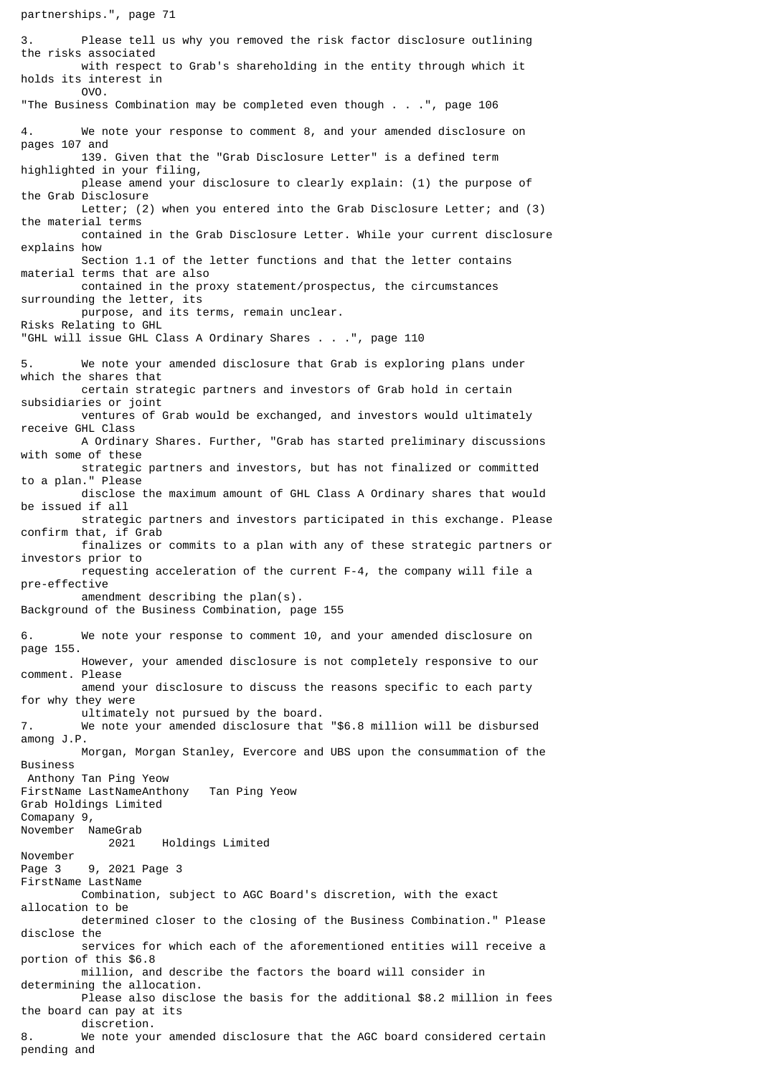partnerships.", page 71

3. Please tell us why you removed the risk factor disclosure outlining the risks associated with respect to Grab's shareholding in the entity through which it holds its interest in OVO. "The Business Combination may be completed even though . . .", page 106 4. We note your response to comment 8, and your amended disclosure on pages 107 and 139. Given that the "Grab Disclosure Letter" is a defined term highlighted in your filing, please amend your disclosure to clearly explain: (1) the purpose of the Grab Disclosure Letter; (2) when you entered into the Grab Disclosure Letter; and (3) the material terms contained in the Grab Disclosure Letter. While your current disclosure explains how Section 1.1 of the letter functions and that the letter contains material terms that are also contained in the proxy statement/prospectus, the circumstances surrounding the letter, its purpose, and its terms, remain unclear. Risks Relating to GHL "GHL will issue GHL Class A Ordinary Shares . . .", page 110 We note your amended disclosure that Grab is exploring plans under which the shares that certain strategic partners and investors of Grab hold in certain subsidiaries or joint ventures of Grab would be exchanged, and investors would ultimately receive GHL Class A Ordinary Shares. Further, "Grab has started preliminary discussions with some of these strategic partners and investors, but has not finalized or committed to a plan." Please disclose the maximum amount of GHL Class A Ordinary shares that would be issued if all strategic partners and investors participated in this exchange. Please confirm that, if Grab finalizes or commits to a plan with any of these strategic partners or investors prior to requesting acceleration of the current F-4, the company will file a pre-effective amendment describing the plan(s). Background of the Business Combination, page 155 6. We note your response to comment 10, and your amended disclosure on page 155. However, your amended disclosure is not completely responsive to our comment. Please amend your disclosure to discuss the reasons specific to each party for why they were ultimately not pursued by the board. 7. We note your amended disclosure that "\$6.8 million will be disbursed among J.P. Morgan, Morgan Stanley, Evercore and UBS upon the consummation of the Business Anthony Tan Ping Yeow FirstName LastNameAnthony Tan Ping Yeow Grab Holdings Limited Comapany 9, November NameGrab 2021 Holdings Limited November Page 3 9, 2021 Page 3 FirstName LastName Combination, subject to AGC Board's discretion, with the exact allocation to be determined closer to the closing of the Business Combination." Please disclose the services for which each of the aforementioned entities will receive a portion of this \$6.8 million, and describe the factors the board will consider in determining the allocation. Please also disclose the basis for the additional \$8.2 million in fees the board can pay at its discretion. 8. We note your amended disclosure that the AGC board considered certain pending and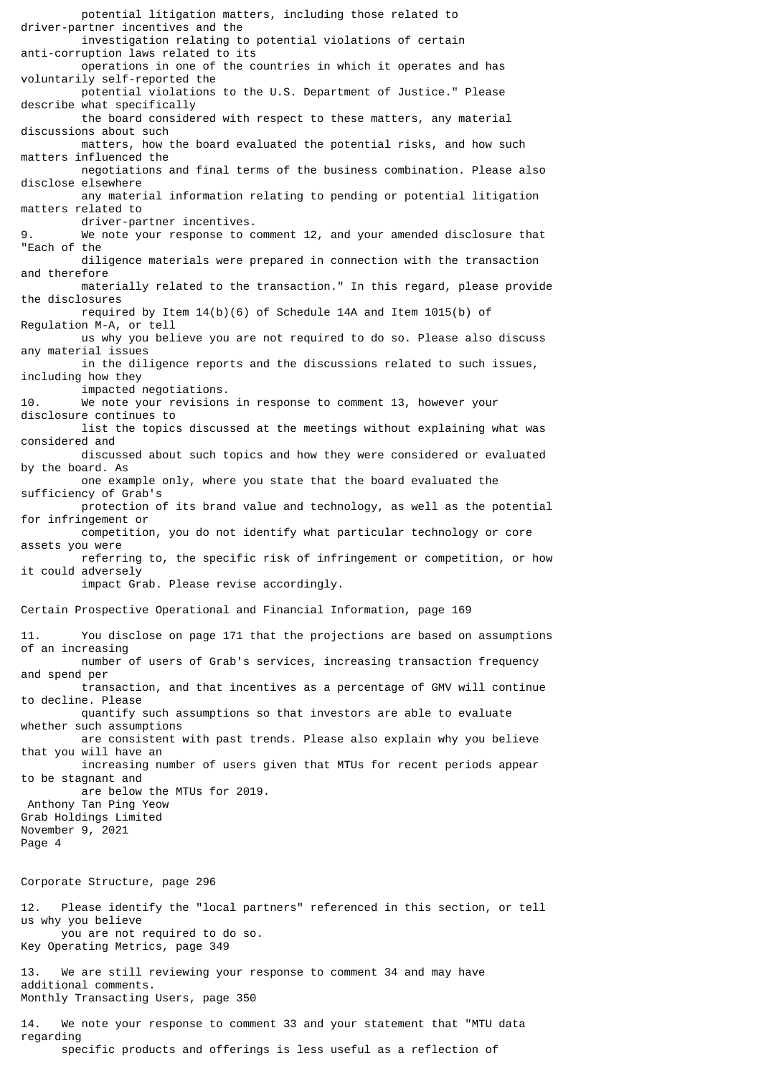potential litigation matters, including those related to driver-partner incentives and the investigation relating to potential violations of certain anti-corruption laws related to its operations in one of the countries in which it operates and has voluntarily self-reported the potential violations to the U.S. Department of Justice." Please describe what specifically the board considered with respect to these matters, any material discussions about such matters, how the board evaluated the potential risks, and how such matters influenced the negotiations and final terms of the business combination. Please also disclose elsewhere any material information relating to pending or potential litigation matters related to driver-partner incentives. We note your response to comment 12, and your amended disclosure that "Each of the diligence materials were prepared in connection with the transaction and therefore materially related to the transaction." In this regard, please provide the disclosures required by Item 14(b)(6) of Schedule 14A and Item 1015(b) of Regulation M-A, or tell us why you believe you are not required to do so. Please also discuss any material issues in the diligence reports and the discussions related to such issues, including how they impacted negotiations.<br>Me note your revisions We note your revisions in response to comment 13, however your disclosure continues to list the topics discussed at the meetings without explaining what was considered and discussed about such topics and how they were considered or evaluated by the board. As one example only, where you state that the board evaluated the sufficiency of Grab's protection of its brand value and technology, as well as the potential for infringement or competition, you do not identify what particular technology or core assets you were referring to, the specific risk of infringement or competition, or how it could adversely impact Grab. Please revise accordingly. Certain Prospective Operational and Financial Information, page 169 11. You disclose on page 171 that the projections are based on assumptions of an increasing number of users of Grab's services, increasing transaction frequency and spend per transaction, and that incentives as a percentage of GMV will continue to decline. Please quantify such assumptions so that investors are able to evaluate whether such assumptions are consistent with past trends. Please also explain why you believe that you will have an increasing number of users given that MTUs for recent periods appear to be stagnant and are below the MTUs for 2019. Anthony Tan Ping Yeow Grab Holdings Limited November 9, 2021 Page 4 Corporate Structure, page 296 12. Please identify the "local partners" referenced in this section, or tell us why you believe you are not required to do so. Key Operating Metrics, page 349

13. We are still reviewing your response to comment 34 and may have additional comments. Monthly Transacting Users, page 350

14. We note your response to comment 33 and your statement that "MTU data regarding specific products and offerings is less useful as a reflection of